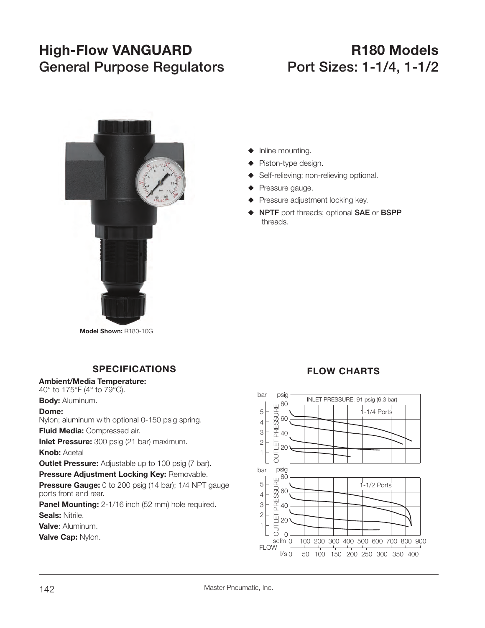# **High-Flow VANGUARD R180 Models** General Purpose Regulators Port Sizes: 1-1/4, 1-1/2



- $\blacklozenge$  Inline mounting.
- $\blacklozenge$  Piston-type design.
- Self-relieving; non-relieving optional.
- $\blacklozenge$  Pressure gauge.
- Pressure adjustment locking key.
- ◆ **NPTF** port threads; optional SAE or BSPP threads.

**Model Shown:** R180-10G

# **SPECIFICATIONS**

#### **Ambient/Media Temperature:**

40° to 175°F (4° to 79°C).

**Body:** Aluminum.

#### **Dome:**

Nylon; aluminum with optional 0-150 psig spring.

**Fluid Media:** Compressed air.

**Inlet Pressure:** 300 psig (21 bar) maximum.

**Knob:** Acetal

**Outlet Pressure:** Adjustable up to 100 psig (7 bar).

**Pressure Adjustment Locking Key:** Removable.

**Pressure Gauge:** 0 to 200 psig (14 bar); 1/4 NPT gauge ports front and rear.

**Panel Mounting:** 2-1/16 inch (52 mm) hole required. **Seals:** Nitrile.

**Valve**: Aluminum.

# **FLOW CHARTS**